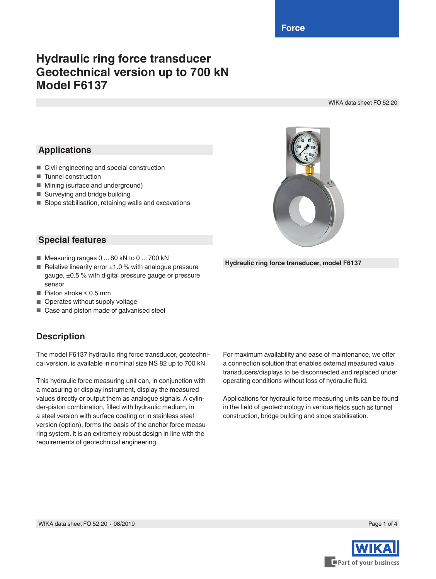**Force**

# **Hydraulic ring force transducer Geotechnical version up to 700 kN Model F6137**

WIKA data sheet FO 52.20

## **Applications**

- Civil engineering and special construction
- Tunnel construction
- Mining (surface and underground)
- Surveying and bridge building
- Slope stabilisation, retaining walls and excavations



**Hydraulic ring force transducer, model F6137**

#### **Special features**

- Measuring ranges 0 ... 80 kN to 0 ... 700 kN
- Relative linearity error  $±1.0$  % with analogue pressure gauge, ±0.5 % with digital pressure gauge or pressure sensor
- Piston stroke ≤ 0.5 mm
- Operates without supply voltage
- Case and piston made of galvanised steel

### **Description**

The model F6137 hydraulic ring force transducer, geotechnical version, is available in nominal size NS 82 up to 700 kN.

This hydraulic force measuring unit can, in conjunction with a measuring or display instrument, display the measured values directly or output them as analogue signals. A cylinder-piston combination, filled with hydraulic medium, in a steel version with surface coating or in stainless steel version (option), forms the basis of the anchor force measuring system. It is an extremely robust design in line with the requirements of geotechnical engineering.

For maximum availability and ease of maintenance, we offer a connection solution that enables external measured value transducers/displays to be disconnected and replaced under operating conditions without loss of hydraulic fluid.

Applications for hydraulic force measuring units can be found in the field of geotechnology in various fields such as tunnel construction, bridge building and slope stabilisation.

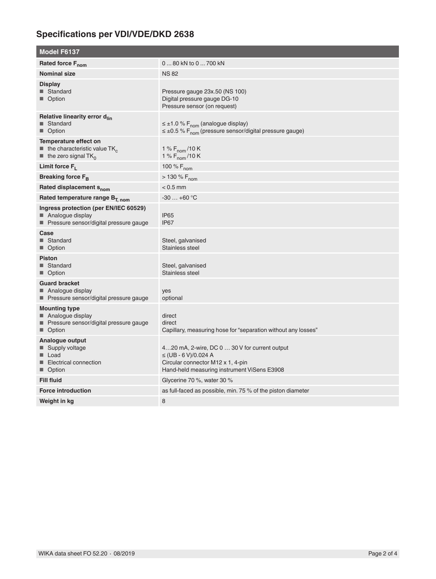## **Specifications per VDI/VDE/DKD 2638**

| <b>Model F6137</b>                                                                                                                 |                                                                                                                                                                |
|------------------------------------------------------------------------------------------------------------------------------------|----------------------------------------------------------------------------------------------------------------------------------------------------------------|
| Rated force F <sub>nom</sub>                                                                                                       | 0  80 kN to 0  700 kN                                                                                                                                          |
| <b>Nominal size</b>                                                                                                                | <b>NS82</b>                                                                                                                                                    |
| <b>Display</b><br>■ Standard<br>■ Option                                                                                           | Pressure gauge 23x.50 (NS 100)<br>Digital pressure gauge DG-10<br>Pressure sensor (on request)                                                                 |
| Relative linearity error d <sub>lin</sub><br>■ Standard<br>■ Option                                                                | $\leq \pm 1.0$ % F <sub>nom</sub> (analogue display)<br>$\leq \pm 0.5$ % F <sub>nom</sub> (pressure sensor/digital pressure gauge)                             |
| Temperature effect on<br>$\blacksquare$ the characteristic value TK <sub>c</sub><br>$\blacksquare$ the zero signal TK <sub>0</sub> | 1 % $F_{\text{nom}}$ /10 K<br>1 % $F_{\text{nom}}$ /10 K                                                                                                       |
| Limit force $F_L$                                                                                                                  | 100 % F <sub>nom</sub>                                                                                                                                         |
| Breaking force $F_R$                                                                                                               | $> 130 \% F_{\text{nom}}$                                                                                                                                      |
| Rated displacement S <sub>nom</sub>                                                                                                | $< 0.5$ mm                                                                                                                                                     |
| Rated temperature range B <sub>T. nom</sub>                                                                                        | $-30+60$ °C                                                                                                                                                    |
| Ingress protection (per EN/IEC 60529)<br>■ Analogue display<br>■ Pressure sensor/digital pressure gauge                            | IP <sub>65</sub><br>IP <sub>67</sub>                                                                                                                           |
| Case<br>■ Standard<br>■ Option                                                                                                     | Steel, galvanised<br>Stainless steel                                                                                                                           |
| <b>Piston</b><br>■ Standard<br>■ Option                                                                                            | Steel, galvanised<br>Stainless steel                                                                                                                           |
| <b>Guard bracket</b><br>■ Analogue display<br>Pressure sensor/digital pressure gauge                                               | yes<br>optional                                                                                                                                                |
| <b>Mounting type</b><br>■ Analogue display<br>Pressure sensor/digital pressure gauge<br>Option                                     | direct<br>direct<br>Capillary, measuring hose for "separation without any losses"                                                                              |
| Analogue output<br>■ Supply voltage<br>■ Load<br>■ Electrical connection<br>■ Option                                               | 420 mA, 2-wire, DC 0  30 V for current output<br>$\leq$ (UB - 6 V)/0.024 A<br>Circular connector M12 x 1, 4-pin<br>Hand-held measuring instrument ViSens E3908 |
| <b>Fill fluid</b>                                                                                                                  | Glycerine 70 %, water 30 %                                                                                                                                     |
| <b>Force introduction</b>                                                                                                          | as full-faced as possible, min. 75 % of the piston diameter                                                                                                    |
| Weight in kg                                                                                                                       | 8                                                                                                                                                              |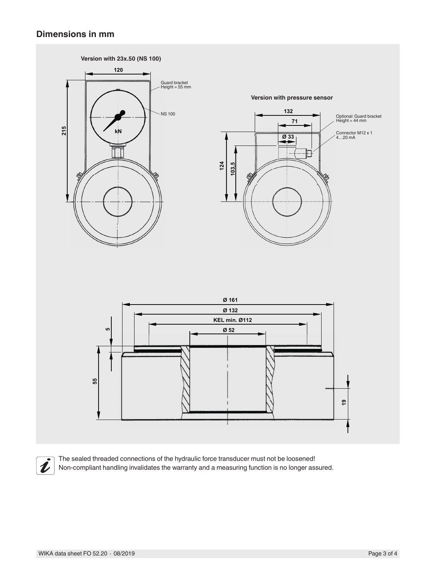#### **Dimensions in mm**





The sealed threaded connections of the hydraulic force transducer must not be loosened! Non-compliant handling invalidates the warranty and a measuring function is no longer assured.